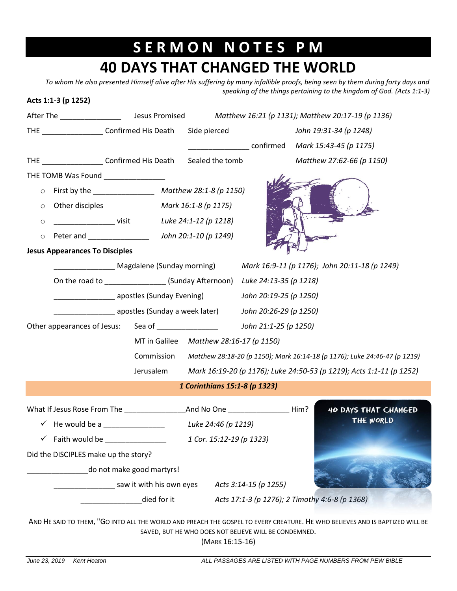## **S E R M O N N O T E S P M 40 DAYS THAT CHANGED THE WORLD**

*To whom He also presented Himself alive after His suffering by many infallible proofs, being seen by them during forty days and speaking of the things pertaining to the kingdom of God. (Acts 1:1-3)*

## **Acts 1:1-3 (p 1252)**

|                                                                          |                                                                                                               |                                         |                        | Matthew 16:21 (p 1131); Matthew 20:17-19 (p 1136)                         |  |  |
|--------------------------------------------------------------------------|---------------------------------------------------------------------------------------------------------------|-----------------------------------------|------------------------|---------------------------------------------------------------------------|--|--|
| THE Confirmed His Death Side pierced                                     |                                                                                                               |                                         |                        | John 19:31-34 (p 1248)                                                    |  |  |
|                                                                          |                                                                                                               |                                         |                        | _________________________confirmed Mark 15:43-45 (p 1175)                 |  |  |
| THE ________________________ Confirmed His Death                         |                                                                                                               | Sealed the tomb                         |                        | Matthew 27:62-66 (p 1150)                                                 |  |  |
| THE TOMB Was Found _______________                                       |                                                                                                               |                                         |                        |                                                                           |  |  |
| $\circ$                                                                  |                                                                                                               |                                         |                        |                                                                           |  |  |
| $\circ$                                                                  | Other disciples Mark 16:1-8 (p 1175)                                                                          |                                         |                        |                                                                           |  |  |
| $\circ$                                                                  | visit Luke 24:1-12 (p 1218)                                                                                   |                                         |                        |                                                                           |  |  |
| $\circ$                                                                  |                                                                                                               |                                         |                        |                                                                           |  |  |
| <b>Jesus Appearances To Disciples</b>                                    |                                                                                                               |                                         |                        |                                                                           |  |  |
|                                                                          |                                                                                                               |                                         |                        | Magdalene (Sunday morning) Mark 16:9-11 (p 1176); John 20:11-18 (p 1249)  |  |  |
|                                                                          | On the road to _________________(Sunday Afternoon) Luke 24:13-35 (p 1218)                                     |                                         |                        |                                                                           |  |  |
|                                                                          | apostles (Sunday Evening) and the substitution of the substitution of the substitution of the substitution of |                                         | John 20:19-25 (p 1250) |                                                                           |  |  |
|                                                                          | apostles (Sunday a week later)                                                                                |                                         | John 20:26-29 (p 1250) |                                                                           |  |  |
| Other appearances of Jesus: Sea of _______________ John 21:1-25 (p 1250) |                                                                                                               |                                         |                        |                                                                           |  |  |
|                                                                          |                                                                                                               | MT in Galilee Matthew 28:16-17 (p 1150) |                        |                                                                           |  |  |
|                                                                          | Commission                                                                                                    |                                         |                        | Matthew 28:18-20 (p 1150); Mark 16:14-18 (p 1176); Luke 24:46-47 (p 1219) |  |  |
|                                                                          | Jerusalem                                                                                                     |                                         |                        | Mark 16:19-20 (p 1176); Luke 24:50-53 (p 1219); Acts 1:1-11 (p 1252)      |  |  |
| 1 Corinthians 15:1-8 (p 1323)                                            |                                                                                                               |                                         |                        |                                                                           |  |  |
|                                                                          |                                                                                                               |                                         |                        | 40 DAYS THAT CHANGED                                                      |  |  |
| $\checkmark$ He would be a                                               |                                                                                                               | Luke 24:46 (p 1219)                     |                        | THE WORLD                                                                 |  |  |
| Faith would be<br>$\checkmark$                                           |                                                                                                               | 1 Cor. 15:12-19 (p 1323)                |                        |                                                                           |  |  |
| Did the DISCIPLES make up the story?                                     |                                                                                                               |                                         |                        |                                                                           |  |  |
| do not make good martyrs!                                                |                                                                                                               |                                         |                        |                                                                           |  |  |
| saw it with his own eyes<br>Acts 3:14-15 (p 1255)                        |                                                                                                               |                                         |                        |                                                                           |  |  |
| died for it<br>Acts 17:1-3 (p 1276); 2 Timothy 4:6-8 (p 1368)            |                                                                                                               |                                         |                        |                                                                           |  |  |
|                                                                          |                                                                                                               |                                         |                        |                                                                           |  |  |

AND HE SAID TO THEM, "GO INTO ALL THE WORLD AND PREACH THE GOSPEL TO EVERY CREATURE. HE WHO BELIEVES AND IS BAPTIZED WILL BE SAVED, BUT HE WHO DOES NOT BELIEVE WILL BE CONDEMNED.

(MARK 16:15-16)